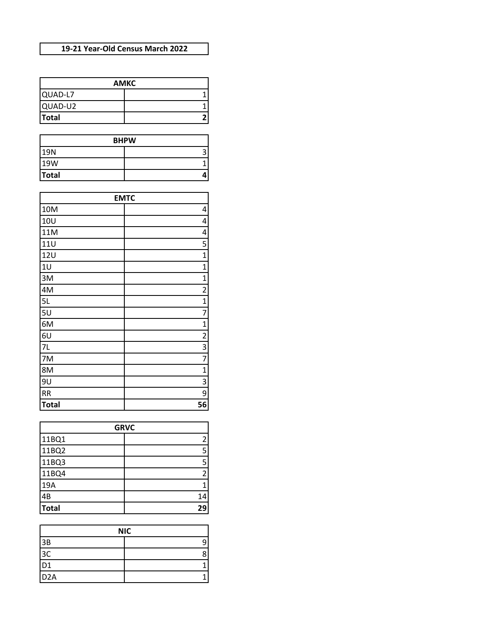## **19-21 Year-Old Census March 2022**

|              | <b>AMKC</b> |
|--------------|-------------|
| QUAD-L7      |             |
| QUAD-U2      |             |
| <b>Total</b> |             |

|              | <b>BHPW</b> |
|--------------|-------------|
| 19N          |             |
| 19W          |             |
| <b>Total</b> |             |

|              | <b>EMTC</b>             |
|--------------|-------------------------|
| 10M          | 4                       |
| <b>10U</b>   | 4                       |
| 11M          | 4                       |
| <b>11U</b>   | 5                       |
| 12U          | 1                       |
| 10           | 1                       |
| 3M           | 1                       |
| 4M           | 2                       |
| 5L           | 1                       |
| 5U           | 7                       |
| 6M           | 1                       |
| 6U           | $\overline{\mathbf{c}}$ |
| 7L           | 3                       |
| 7M           | 7                       |
| 8M           | 1                       |
| 9U           | 3                       |
| <b>RR</b>    | 9                       |
| <b>Total</b> | 56                      |

|              | <b>GRVC</b> |
|--------------|-------------|
| 11BQ1        | 2           |
| 11BQ2        | 5           |
| 11BQ3        | 5           |
| 11BQ4        | 2           |
| 19A          |             |
| 4B           | 14          |
| <b>Total</b> | 29          |

|                  | <b>NIC</b> |
|------------------|------------|
| 3B               |            |
| 3C               |            |
| D <sub>1</sub>   |            |
| D <sub>2</sub> A |            |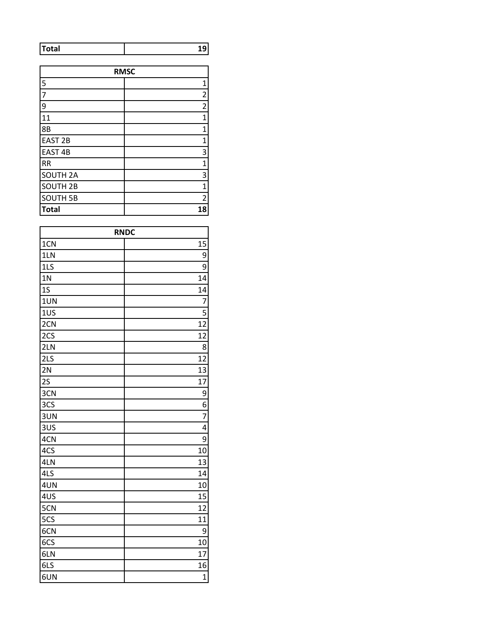| tal | - |
|-----|---|
|     |   |

|                     | <b>RMSC</b>             |
|---------------------|-------------------------|
| 5                   | 1                       |
| $\overline{7}$      | $\overline{\mathbf{c}}$ |
| 9                   | $\overline{2}$          |
| 11                  | $\mathbf{1}$            |
| 8B                  | 1                       |
| <b>EAST 2B</b>      | 1                       |
| EAST <sub>4B</sub>  | 3                       |
| <b>RR</b>           | $\mathbf 1$             |
| <b>SOUTH 2A</b>     | 3                       |
| SOUTH <sub>2B</sub> | 1                       |
| <b>SOUTH 5B</b>     | $\overline{2}$          |
| <b>Total</b>        | 18                      |

|                | <b>RNDC</b>    |
|----------------|----------------|
| 1CN            | 15             |
| 1LN            | 9              |
| 1LS            | 9              |
| 1 <sub>N</sub> | 14             |
| 1S             | 14             |
| 1UN            | $\overline{7}$ |
| 1US            | 5              |
| 2CN            | 12             |
| 2CS            | 12             |
| 2LN            | 8              |
| 2LS            | 12             |
| 2N             | 13             |
| 2S             | 17             |
| 3CN            | 9              |
| 3CS            | 6              |
| 3UN            | $\overline{7}$ |
| 3US            | 4              |
| 4CN            | 9              |
| 4CS            | 10             |
| 4LN            | 13             |
| 4LS            | 14             |
| 4UN            | 10             |
| 4US            | 15             |
| 5CN            | 12             |
| 5CS            | 11             |
| 6CN            | 9              |
| 6CS            | 10             |
| 6LN            | 17             |
| 6LS            | 16             |
| 6UN            | $\overline{1}$ |